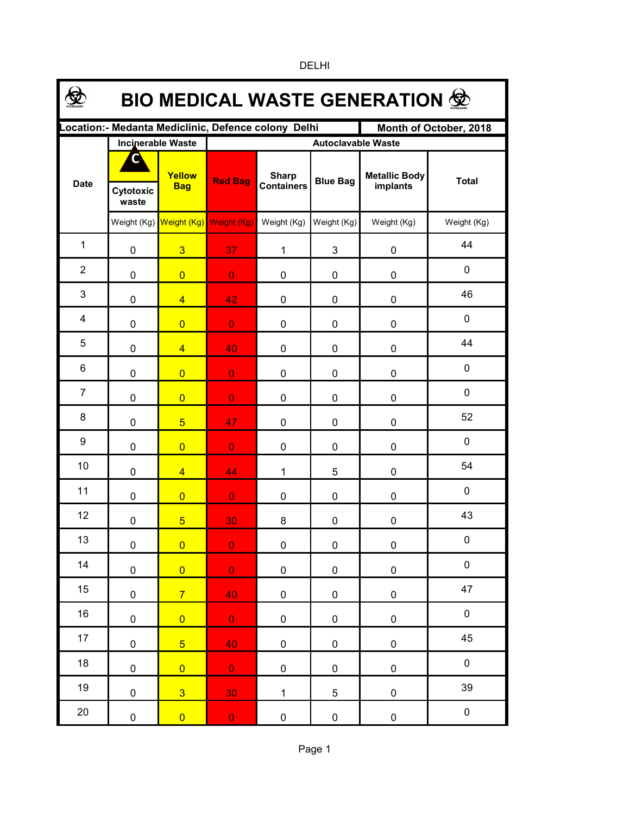| <b>BIO MEDICAL WASTE GENERATION ®</b>                                         |                    |                          |                                     |                                   |                 |                                  |              |  |  |  |  |
|-------------------------------------------------------------------------------|--------------------|--------------------------|-------------------------------------|-----------------------------------|-----------------|----------------------------------|--------------|--|--|--|--|
| Location:- Medanta Mediclinic, Defence colony Delhi<br>Month of October, 2018 |                    |                          |                                     |                                   |                 |                                  |              |  |  |  |  |
|                                                                               |                    | <b>Incinerable Waste</b> | <b>Autoclavable Waste</b>           |                                   |                 |                                  |              |  |  |  |  |
| <b>Date</b>                                                                   | Cytotoxic<br>waste | Yellow<br><b>Bag</b>     | <b>Red Bag</b>                      | <b>Sharp</b><br><b>Containers</b> | <b>Blue Bag</b> | <b>Metallic Body</b><br>implants | <b>Total</b> |  |  |  |  |
|                                                                               |                    |                          | Weight (Kg) Weight (Kg) Weight (Kg) | Weight (Kg)                       | Weight (Kg)     | Weight (Kg)                      | Weight (Kg)  |  |  |  |  |
| $\mathbf{1}$                                                                  | 0                  | $\overline{3}$           | 37 <sup>°</sup>                     | 1                                 | 3               | 0                                | 44           |  |  |  |  |
| $\overline{2}$                                                                | 0                  | $\overline{0}$           | $\mathbf{0}$                        | 0                                 | 0               | 0                                | $\pmb{0}$    |  |  |  |  |
| 3                                                                             | 0                  | $\overline{4}$           | 42                                  | 0                                 | 0               | 0                                | 46           |  |  |  |  |
| 4                                                                             | 0                  | $\overline{0}$           | $\mathbf{0}$                        | 0                                 | 0               | 0                                | $\mathbf 0$  |  |  |  |  |
| 5                                                                             | 0                  | $\overline{4}$           | 40                                  | 0                                 | 0               | 0                                | 44           |  |  |  |  |
| 6                                                                             | 0                  | $\overline{0}$           | $\mathbf{O}$                        | 0                                 | 0               | 0                                | $\mathbf 0$  |  |  |  |  |
| $\overline{7}$                                                                | 0                  | $\overline{0}$           | $\overline{0}$                      | 0                                 | 0               | 0                                | $\mathbf 0$  |  |  |  |  |
| 8                                                                             | 0                  | 5 <sup>5</sup>           | 47                                  | 0                                 | 0               | 0                                | 52           |  |  |  |  |
| 9                                                                             | 0                  | $\overline{0}$           | $\overline{0}$                      | 0                                 | 0               | 0                                | $\mathbf 0$  |  |  |  |  |
| 10                                                                            | 0                  | $\overline{4}$           | 44                                  | $\mathbf{1}$                      | 5               | 0                                | 54           |  |  |  |  |
| 11                                                                            | 0                  | $\overline{0}$           | $\mathbf{O}$                        | 0                                 | 0               | 0                                | $\mathbf 0$  |  |  |  |  |
| 12                                                                            | 0                  | $5\overline{}$           | 30                                  | 8                                 | 0               | 0                                | 43           |  |  |  |  |
| 13                                                                            | $\pmb{0}$          | $\overline{0}$           | $\mathbf{0}$                        | 0                                 | 0               | $\pmb{0}$                        | $\pmb{0}$    |  |  |  |  |
| 14                                                                            | $\pmb{0}$          | $\overline{0}$           | $\overline{0}$                      | $\pmb{0}$                         | $\pmb{0}$       | $\pmb{0}$                        | $\pmb{0}$    |  |  |  |  |
| 15                                                                            | 0                  | $\overline{7}$           | 40                                  | 0                                 | $\pmb{0}$       | $\pmb{0}$                        | 47           |  |  |  |  |
| 16                                                                            | $\pmb{0}$          | $\overline{0}$           | $\overline{0}$                      | 0                                 | $\pmb{0}$       | $\pmb{0}$                        | $\pmb{0}$    |  |  |  |  |
| 17                                                                            | 0                  | $\overline{5}$           | 40                                  | 0                                 | $\pmb{0}$       | $\pmb{0}$                        | 45           |  |  |  |  |
| 18                                                                            | $\pmb{0}$          | $\overline{0}$           | $\mathbf{O}^+$                      | 0                                 | $\pmb{0}$       | $\pmb{0}$                        | $\pmb{0}$    |  |  |  |  |
| 19                                                                            | $\pmb{0}$          | $\overline{3}$           | 30                                  | $\mathbf{1}$                      | 5               | $\pmb{0}$                        | 39           |  |  |  |  |
| 20                                                                            | $\pmb{0}$          | $\overline{0}$           | $\mathbf 0$                         | $\pmb{0}$                         | $\pmb{0}$       | $\pmb{0}$                        | $\pmb{0}$    |  |  |  |  |

DELHI